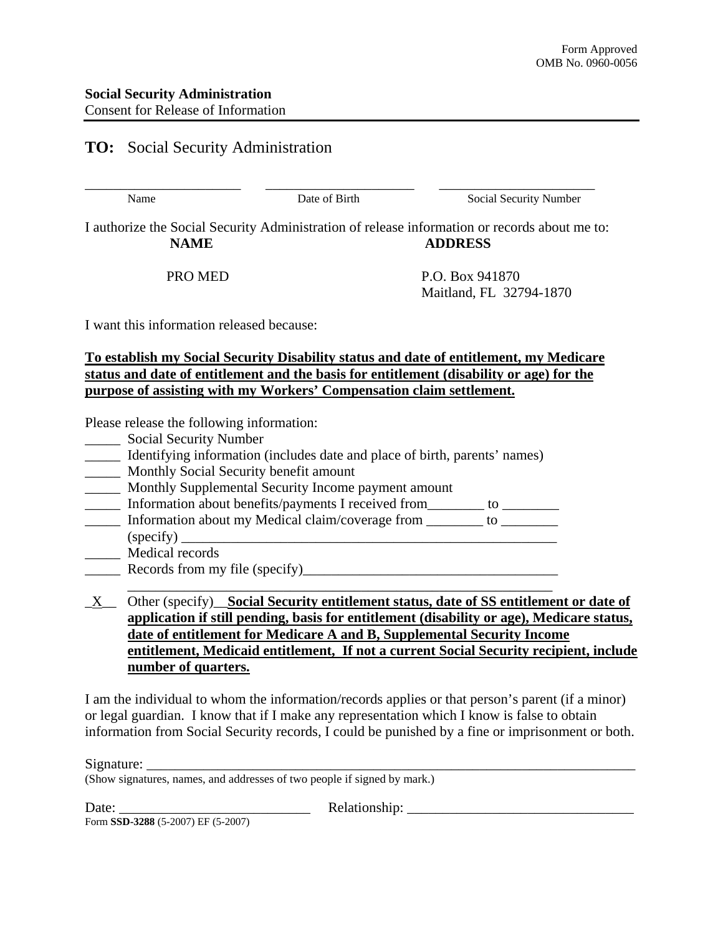## **TO:** Social Security Administration

\_\_\_\_\_\_\_\_\_\_\_\_\_\_\_\_\_\_\_\_\_\_ \_\_\_\_\_\_\_\_\_\_\_\_\_\_\_\_\_\_\_\_\_ \_\_\_\_\_\_\_\_\_\_\_\_\_\_\_\_\_\_\_\_\_\_

Name Date of Birth Social Security Number

I authorize the Social Security Administration of release information or records about me to: **NAME** ADDRESS

PRO MED P.O. Box 941870 Maitland, FL 32794-1870

I want this information released because:

**To establish my Social Security Disability status and date of entitlement, my Medicare status and date of entitlement and the basis for entitlement (disability or age) for the purpose of assisting with my Workers' Compensation claim settlement.**

Please release the following information:

- \_\_\_\_\_ Social Security Number
- Identifying information (includes date and place of birth, parents' names)
- \_\_\_\_\_ Monthly Social Security benefit amount
- \_\_\_\_\_ Monthly Supplemental Security Income payment amount
- \_\_\_\_\_ Information about benefits/payments I received from\_\_\_\_\_\_\_\_ to \_\_\_\_\_\_\_\_
- Information about my Medical claim/coverage from  $\qquad \qquad$  to  $\qquad \qquad$  $(specify)$
- \_\_\_\_\_ Medical records
- \_\_\_\_\_ Records from my file (specify)\_\_\_\_\_\_\_\_\_\_\_\_\_\_\_\_\_\_\_\_\_\_\_\_\_\_\_\_\_\_\_\_\_\_\_\_
- \_\_\_\_\_\_\_\_\_\_\_\_\_\_\_\_\_\_\_\_\_\_\_\_\_\_\_\_\_\_\_\_\_\_\_\_\_\_\_\_\_\_\_\_\_\_\_\_\_\_\_\_\_\_\_\_\_\_\_\_ \_X\_\_ Other (specify)\_\_**Social Security entitlement status, date of SS entitlement or date of application if still pending, basis for entitlement (disability or age), Medicare status, date of entitlement for Medicare A and B, Supplemental Security Income entitlement, Medicaid entitlement, If not a current Social Security recipient, include number of quarters.**

I am the individual to whom the information/records applies or that person's parent (if a minor) or legal guardian. I know that if I make any representation which I know is false to obtain information from Social Security records, I could be punished by a fine or imprisonment or both.

Signature:

(Show signatures, names, and addresses of two people if signed by mark.)

Date: \_\_\_\_\_\_\_\_\_\_\_\_\_\_\_\_\_\_\_\_\_\_\_\_\_\_\_ Relationship: \_\_\_\_\_\_\_\_\_\_\_\_\_\_\_\_\_\_\_\_\_\_\_\_\_\_\_\_\_\_\_\_

Form **SSD-3288** (5-2007) EF (5-2007)